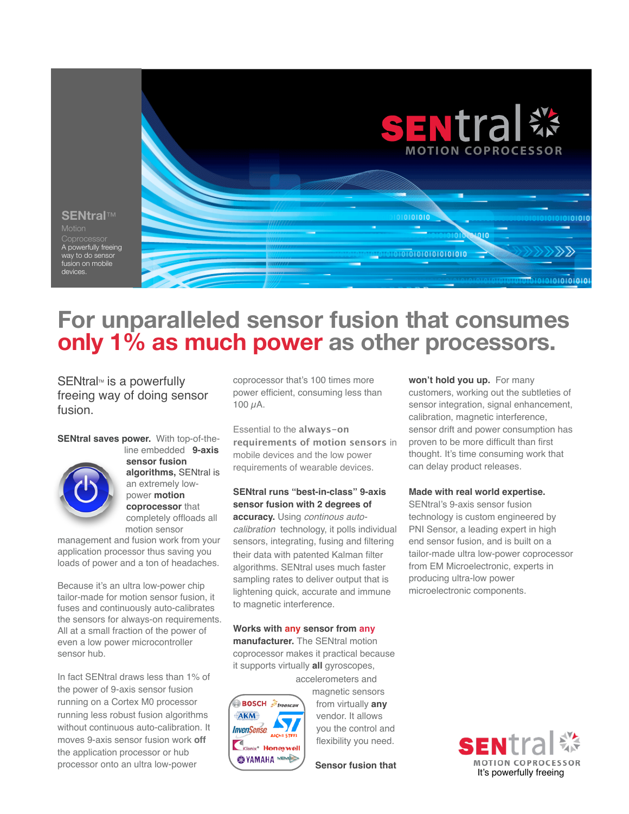

# **For unparalleled sensor fusion that consumes only 1% as much power as other processors.**

SENtral<sup>™</sup> is a powerfully freeing way of doing sensor fusion.

**SENtral saves power.** With top-of-the-



line embedded **9-axis sensor fusion algorithms,** SENtral is an extremely lowpower **motion coprocessor** that completely offloads all motion sensor

management and fusion work from your application processor thus saving you loads of power and a ton of headaches.

Because it's an ultra low-power chip tailor-made for motion sensor fusion, it fuses and continuously auto-calibrates the sensors for always-on requirements. All at a small fraction of the power of even a low power microcontroller sensor hub.

In fact SENtral draws less than 1% of the power of 9-axis sensor fusion running on a Cortex M0 processor running less robust fusion algorithms without continuous auto-calibration. It moves 9-axis sensor fusion work **off**  the application processor or hub processor onto an ultra low-power

coprocessor that's 100 times more power efficient, consuming less than 100 µA.

Essential to the **always-on requirements of motion sensors** in mobile devices and the low power requirements of wearable devices.

# **SENtral runs "best-in-class" 9-axis sensor fusion with 2 degrees of**

**accuracy.** Using *continous autocalibration* technology, it polls individual sensors, integrating, fusing and filtering their data with patented Kalman filter algorithms. SENtral uses much faster sampling rates to deliver output that is lightening quick, accurate and immune to magnetic interference.

#### **Works with any sensor from any**

**manufacturer.** The SENtral motion coprocessor makes it practical because it supports virtually **all** gyroscopes,



accelerometers and magnetic sensors from virtually **any** vendor. It allows you the control and flexibility you need.

**Sensor fusion that** 

**won't hold you up.** For many customers, working out the subtleties of sensor integration, signal enhancement, calibration, magnetic interference, sensor drift and power consumption has proven to be more difficult than first thought. It's time consuming work that can delay product releases.

### **Made with real world expertise.**

SENtral's 9-axis sensor fusion technology is custom engineered by PNI Sensor, a leading expert in high end sensor fusion, and is built on a tailor-made ultra low-power coprocessor from EM Microelectronic, experts in producing ultra-low power microelectronic components.